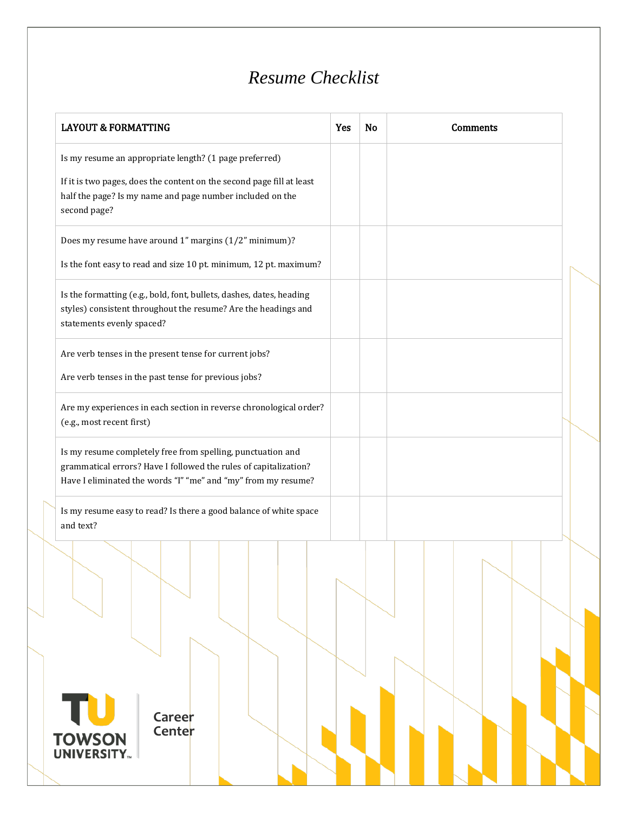## *Resume Checklist*

| <b>LAYOUT &amp; FORMATTING</b>                                                                                                                                                                   | Yes | No | <b>Comments</b> |  |
|--------------------------------------------------------------------------------------------------------------------------------------------------------------------------------------------------|-----|----|-----------------|--|
| Is my resume an appropriate length? (1 page preferred)                                                                                                                                           |     |    |                 |  |
| If it is two pages, does the content on the second page fill at least<br>half the page? Is my name and page number included on the<br>second page?                                               |     |    |                 |  |
| Does my resume have around 1" margins (1/2" minimum)?                                                                                                                                            |     |    |                 |  |
| Is the font easy to read and size 10 pt. minimum, 12 pt. maximum?                                                                                                                                |     |    |                 |  |
| Is the formatting (e.g., bold, font, bullets, dashes, dates, heading<br>styles) consistent throughout the resume? Are the headings and<br>statements evenly spaced?                              |     |    |                 |  |
| Are verb tenses in the present tense for current jobs?                                                                                                                                           |     |    |                 |  |
| Are verb tenses in the past tense for previous jobs?                                                                                                                                             |     |    |                 |  |
| Are my experiences in each section in reverse chronological order?<br>(e.g., most recent first)                                                                                                  |     |    |                 |  |
| Is my resume completely free from spelling, punctuation and<br>grammatical errors? Have I followed the rules of capitalization?<br>Have I eliminated the words "I" "me" and "my" from my resume? |     |    |                 |  |
| Is my resume easy to read? Is there a good balance of white space<br>and text?                                                                                                                   |     |    |                 |  |
|                                                                                                                                                                                                  |     |    |                 |  |
|                                                                                                                                                                                                  |     |    |                 |  |
|                                                                                                                                                                                                  |     |    |                 |  |
|                                                                                                                                                                                                  |     |    |                 |  |
| τυ<br>Career<br>Center                                                                                                                                                                           |     |    |                 |  |
| <b>TOWSON</b><br>UNIVERSITY.                                                                                                                                                                     |     |    |                 |  |
|                                                                                                                                                                                                  |     |    |                 |  |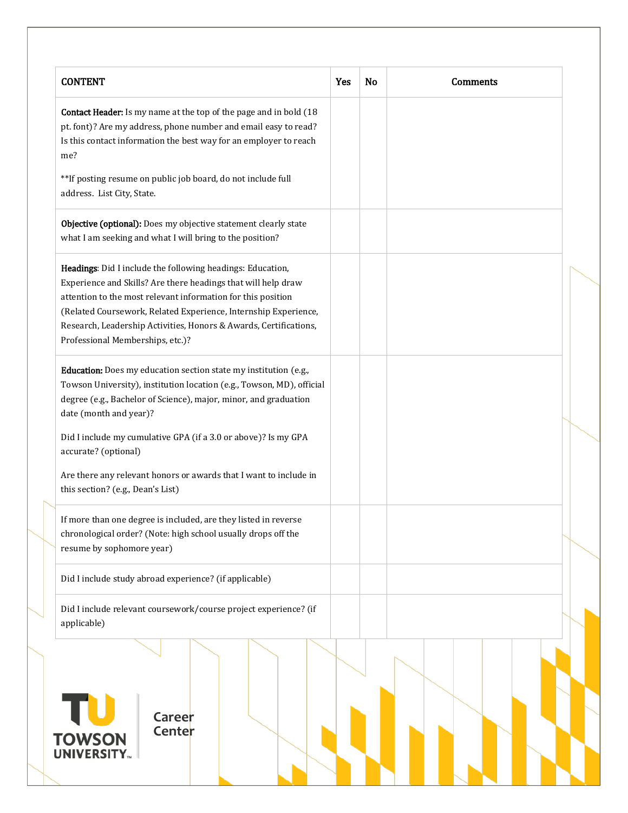| <b>CONTENT</b>                                                                                                                                                                                                                                                                                                                                                          | Yes | <b>No</b> | <b>Comments</b> |  |
|-------------------------------------------------------------------------------------------------------------------------------------------------------------------------------------------------------------------------------------------------------------------------------------------------------------------------------------------------------------------------|-----|-----------|-----------------|--|
| Contact Header: Is my name at the top of the page and in bold (18<br>pt. font)? Are my address, phone number and email easy to read?<br>Is this contact information the best way for an employer to reach<br>me?                                                                                                                                                        |     |           |                 |  |
| ** If posting resume on public job board, do not include full<br>address. List City, State.                                                                                                                                                                                                                                                                             |     |           |                 |  |
| Objective (optional): Does my objective statement clearly state<br>what I am seeking and what I will bring to the position?                                                                                                                                                                                                                                             |     |           |                 |  |
| Headings: Did I include the following headings: Education,<br>Experience and Skills? Are there headings that will help draw<br>attention to the most relevant information for this position<br>(Related Coursework, Related Experience, Internship Experience,<br>Research, Leadership Activities, Honors & Awards, Certifications,<br>Professional Memberships, etc.)? |     |           |                 |  |
| Education: Does my education section state my institution (e.g.,<br>Towson University), institution location (e.g., Towson, MD), official<br>degree (e.g., Bachelor of Science), major, minor, and graduation<br>date (month and year)?                                                                                                                                 |     |           |                 |  |
| Did I include my cumulative GPA (if a 3.0 or above)? Is my GPA<br>accurate? (optional)<br>Are there any relevant honors or awards that I want to include in<br>this section? (e.g., Dean's List)                                                                                                                                                                        |     |           |                 |  |
| If more than one degree is included, are they listed in reverse<br>chronological order? (Note: high school usually drops off the<br>resume by sophomore year)                                                                                                                                                                                                           |     |           |                 |  |
| Did I include study abroad experience? (if applicable)                                                                                                                                                                                                                                                                                                                  |     |           |                 |  |
| Did I include relevant coursework/course project experience? (if<br>applicable)                                                                                                                                                                                                                                                                                         |     |           |                 |  |
| Career<br>Center<br><b>TOWSON</b><br><b>UNIVERSITY.</b>                                                                                                                                                                                                                                                                                                                 |     |           |                 |  |